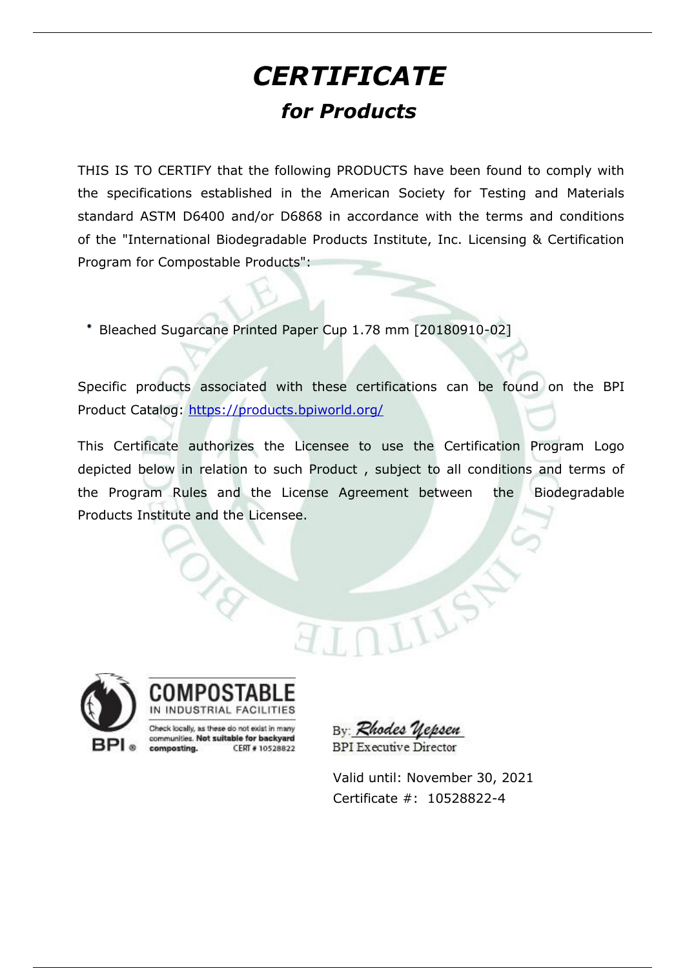## *CERTIFICATE for Products*

THIS IS TO CERTIFY that the following PRODUCTS have been found to comply with the specifications established in the American Society for Testing and Materials standard ASTM D6400 and/or D6868 in accordance with the terms and conditions of the "International Biodegradable Products Institute, Inc. Licensing & Certification Program for Compostable Products":

Bleached Sugarcane Printed Paper Cup 1.78 mm [20180910-02]

Specific products associated with these certifications can be found on the BPI Product Catalog: https://products.bpiworld.org/

This Certificate authorizes the Licensee to use the Certification Program Logo depicted below in relation to such Product , subject to all conditions and terms of the Program Rules and the License Agreement between the Biodegradable Products Institute and the Licensee.





CERT # 10528822 composting.

By: Rhodes 1 **BPI** Executive Director

Valid until: November 30, 2021 Certificate #: 10528822-4

LILE